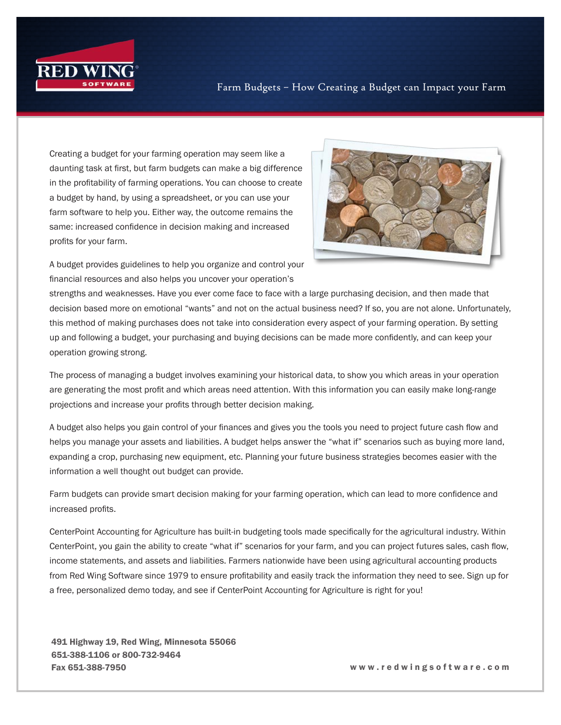

Creating a budget for your farming operation may seem like a daunting task at first, but farm budgets can make a big difference in the profitability of farming operations. You can choose to create a budget by hand, by using a spreadsheet, or you can use your farm software to help you. Either way, the outcome remains the same: increased confidence in decision making and increased profits for your farm.



A budget provides guidelines to help you organize and control your financial resources and also helps you uncover your operation's

strengths and weaknesses. Have you ever come face to face with a large purchasing decision, and then made that decision based more on emotional "wants" and not on the actual business need? If so, you are not alone. Unfortunately, this method of making purchases does not take into consideration every aspect of your farming operation. By setting up and following a budget, your purchasing and buying decisions can be made more confidently, and can keep your operation growing strong.

The process of managing a budget involves examining your historical data, to show you which areas in your operation are generating the most profit and which areas need attention. With this information you can easily make long-range projections and increase your profits through better decision making.

A budget also helps you gain control of your finances and gives you the tools you need to project future cash flow and helps you manage your assets and liabilities. A budget helps answer the "what if" scenarios such as buying more land, expanding a crop, purchasing new equipment, etc. Planning your future business strategies becomes easier with the information a well thought out budget can provide.

Farm budgets can provide smart decision making for your farming operation, which can lead to more confidence and increased profits.

CenterPoint Accounting for Agriculture has built-in budgeting tools made specifically for the agricultural industry. Within CenterPoint, you gain the ability to create "what if" scenarios for your farm, and you can project futures sales, cash flow, income statements, and assets and liabilities. Farmers nationwide have been using agricultural accounting products from Red Wing Software since 1979 to ensure profitability and easily track the information they need to see. Sign up for a free, personalized demo today, and see if CenterPoint Accounting for Agriculture is right for you!

491 Highway 19, Red Wing, Minnesota 55066 651-388-1106 or 800-732-9464 Fax 651-388-7950 w w w . r e d w i n g s o f t w a r e . c o m